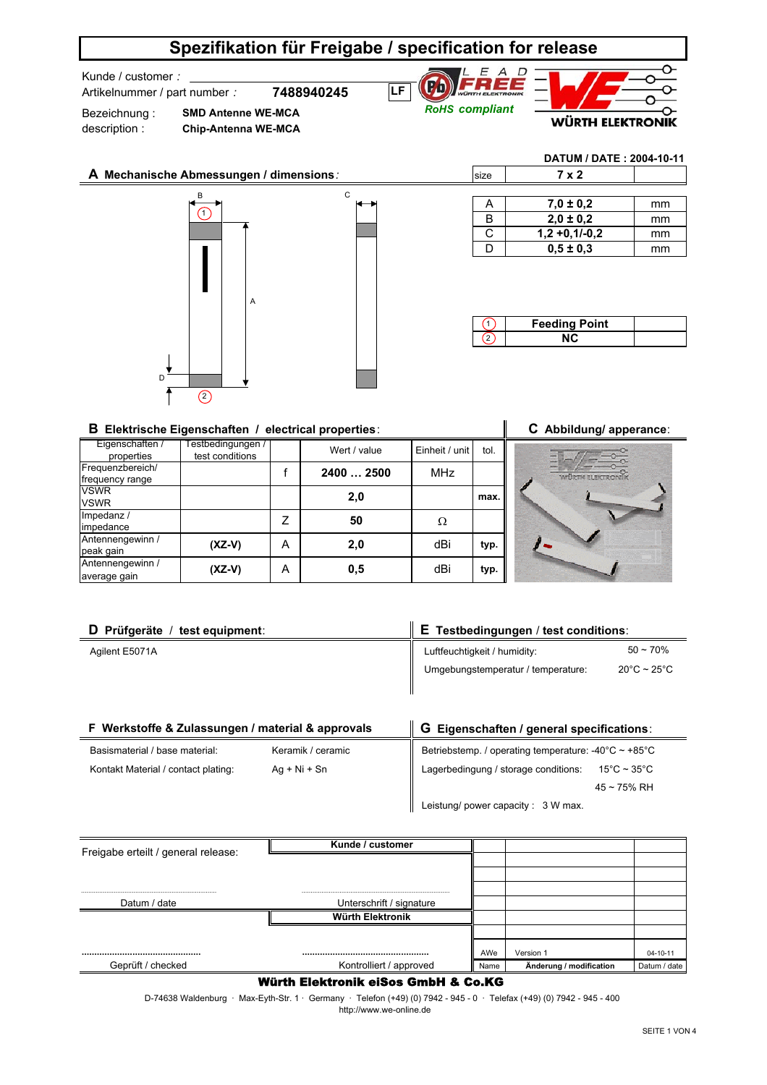## **Spezifikation für Freigabe / specification for release**

Kunde / customer *:* 

Bezeichnung : description :

Artikelnummer / part number *:*

**7488940245 SMD Antenne WE-MCA**





**DATUM / DATE : 2004-10-11**

# **A Mechanische Abmessungen / dimensions***:* B C A  $D^{\frac{1}{2}}$  $\bigcap$  $\circledcirc$

**Chip-Antenna WE-MCA**

| size | 7 x 2           |    |
|------|-----------------|----|
|      |                 |    |
| A    | $7.0 \pm 0.2$   | mm |
| B    | $2.0 \pm 0.2$   | mm |
| C.   | $1,2 +0,1/-0,2$ | mm |
|      | $0,5 \pm 0,3$   | mm |

| <b>Feeding Point</b> |  |
|----------------------|--|
|                      |  |

#### **B Elektrische Eigenschaften / electrical properties**: **C Abbildung/ apperance**:

| Eigenschaften 7<br>properties       | Testbedingungen /<br>test conditions |   | Wert / value | Einheit / unit I | tol. |  |
|-------------------------------------|--------------------------------------|---|--------------|------------------|------|--|
| Frequenzbereich/<br>frequency range |                                      |   | 2400  2500   | <b>MHz</b>       |      |  |
| <b>VSWR</b><br><b>VSWR</b>          |                                      |   | 2,0          |                  | max. |  |
| Impedanz /<br>impedance             |                                      |   | 50           | Ω                |      |  |
| Antennengewinn /<br>peak gain       | $(XZ-V)$                             | А | 2,0          | dBi              | typ. |  |
| Antennengewinn /<br>average gain    | $(XZ-V)$                             | Α | 0,5          | dBi              | typ. |  |

| D Prüfgeräte / test equipment: | $\parallel$ E Testbedingungen / test conditions: |                                  |  |
|--------------------------------|--------------------------------------------------|----------------------------------|--|
| Agilent E5071A                 | Luftfeuchtigkeit / humidity:                     | $50 - 70%$                       |  |
|                                | Umgebungstemperatur / temperature:               | $20^{\circ}$ C ~ 25 $^{\circ}$ C |  |
|                                |                                                  |                                  |  |

| F Werkstoffe & Zulassungen / material & approvals |                   | G Eigenschaften / general specifications:                                |  |  |
|---------------------------------------------------|-------------------|--------------------------------------------------------------------------|--|--|
| Basismaterial / base material:                    | Keramik / ceramic | Betriebstemp. / operating temperature: $-40^{\circ}$ C ~ $+85^{\circ}$ C |  |  |
| Kontakt Material / contact plating:               | $Aq + Ni + Sn$    | Lagerbedingung / storage conditions:<br>$15^{\circ}$ C ~ 35 $^{\circ}$ C |  |  |
|                                                   |                   | $45 \sim 75\% \text{ RH}$                                                |  |  |
|                                                   |                   | Leistung/ power capacity: 3 W max.                                       |  |  |

|                                     | Kunde / customer         |      |                         |              |
|-------------------------------------|--------------------------|------|-------------------------|--------------|
| Freigabe erteilt / general release: |                          |      |                         |              |
|                                     |                          |      |                         |              |
|                                     |                          |      |                         |              |
| Datum / date                        | Unterschrift / signature |      |                         |              |
|                                     | Würth Elektronik         |      |                         |              |
|                                     |                          |      |                         |              |
|                                     |                          | AWe  | Version 1               | 04-10-11     |
| Geprüft / checked                   | Kontrolliert / approved  | Name | Änderung / modification | Datum / date |

#### Würth Elektronik eiSos GmbH & Co.KG

 http://www.we-online.de D-74638 Waldenburg · Max-Eyth-Str. 1 · Germany · Telefon (+49) (0) 7942 - 945 - 0 · Telefax (+49) (0) 7942 - 945 - 400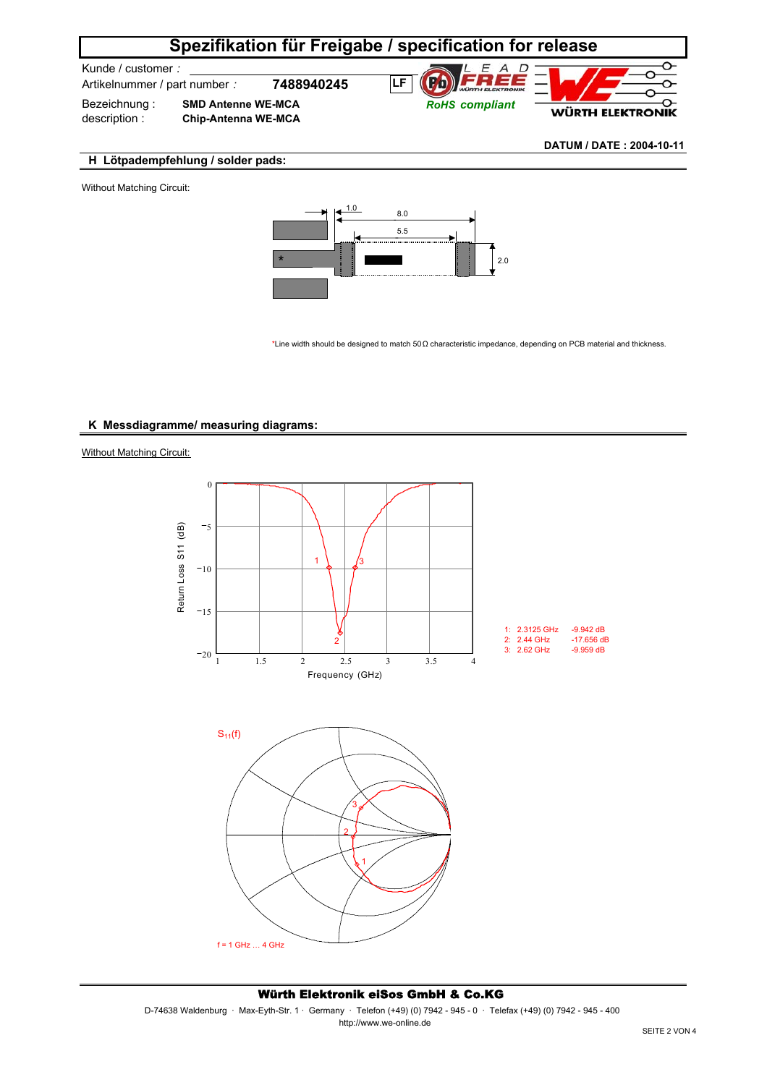## **Spezifikation für Freigabe / specification for release**

Kunde / customer *:* 

Artikelnummer / part number *:* **7488940245**

Bezeichnung : description : **SMD Antenne WE-MCA Chip-Antenna WE-MCA**

 $E$  A D **Fh LF** *RoHS compliant*



**DATUM / DATE : 2004-10-11**

#### **H Lötpadempfehlung / solder pads:**

Without Matching Circuit:



\*Line width should be designed to match 50Ω characteristic impedance, depending on PCB material and thickness.

#### **K Messdiagramme/ measuring diagrams:**

**Without Matching Circuit:** 



f = 1 GHz … 4 GHz

#### Würth Elektronik eiSos GmbH & Co.KG

D-74638 Waldenburg · Max-Eyth-Str. 1 · Germany · Telefon (+49) (0) 7942 - 945 - 0 · Telefax (+49) (0) 7942 - 945 - 400 http://www.we-online.de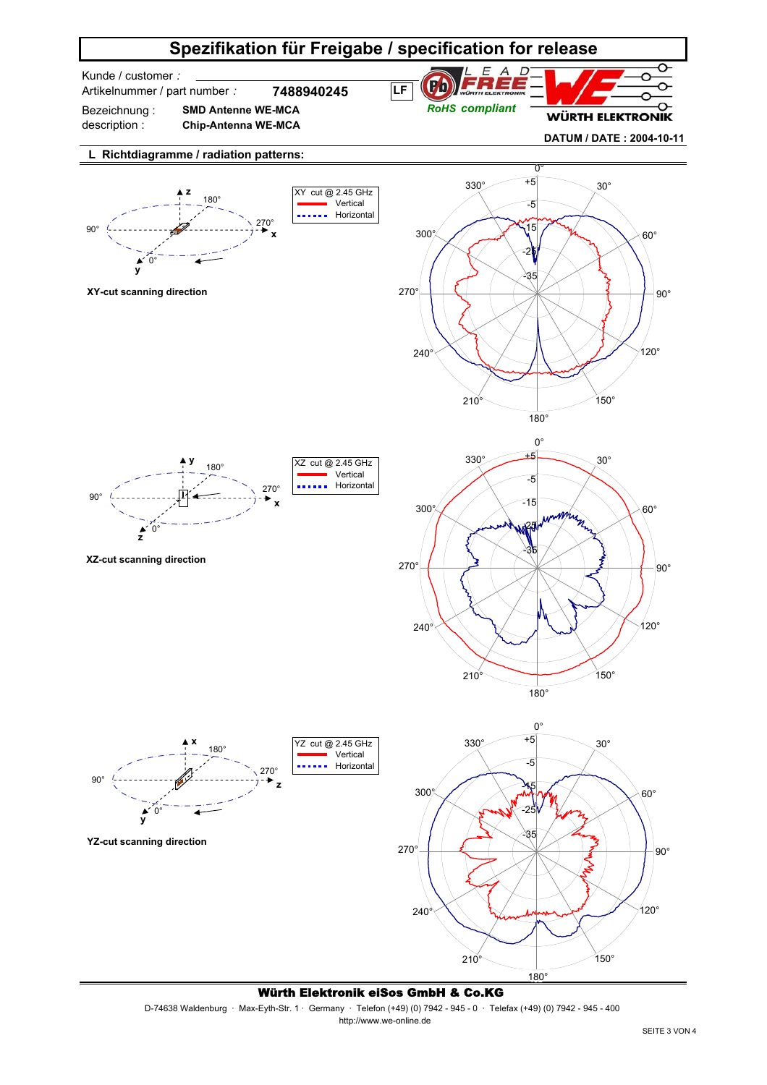

Würth Elektronik eiSos GmbH & Co.KG

D-74638 Waldenburg · Max-Eyth-Str. 1 · Germany · Telefon (+49) (0) 7942 - 945 - 0 · Telefax (+49) (0) 7942 - 945 - 400 http://www.we-online.de